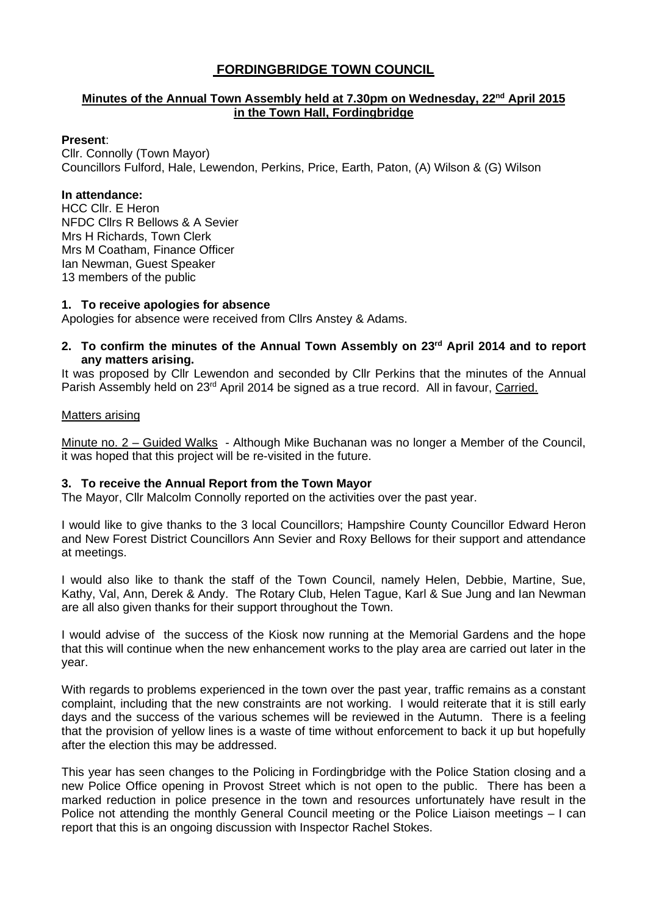# **FORDINGBRIDGE TOWN COUNCIL**

## **Minutes of the Annual Town Assembly held at 7.30pm on Wednesday, 22nd April 2015 in the Town Hall, Fordingbridge**

## **Present**:

Cllr. Connolly (Town Mayor) Councillors Fulford, Hale, Lewendon, Perkins, Price, Earth, Paton, (A) Wilson & (G) Wilson

## **In attendance:**

HCC Cllr. E Heron NFDC Cllrs R Bellows & A Sevier Mrs H Richards, Town Clerk Mrs M Coatham, Finance Officer Ian Newman, Guest Speaker 13 members of the public

## **1. To receive apologies for absence**

Apologies for absence were received from Cllrs Anstey & Adams.

**2. To confirm the minutes of the Annual Town Assembly on 23rd April 2014 and to report any matters arising.** 

It was proposed by Cllr Lewendon and seconded by Cllr Perkins that the minutes of the Annual Parish Assembly held on 23<sup>rd</sup> April 2014 be signed as a true record. All in favour, Carried.

## Matters arising

Minute no. 2 – Guided Walks - Although Mike Buchanan was no longer a Member of the Council, it was hoped that this project will be re-visited in the future.

## **3. To receive the Annual Report from the Town Mayor**

The Mayor, Cllr Malcolm Connolly reported on the activities over the past year.

I would like to give thanks to the 3 local Councillors; Hampshire County Councillor Edward Heron and New Forest District Councillors Ann Sevier and Roxy Bellows for their support and attendance at meetings.

I would also like to thank the staff of the Town Council, namely Helen, Debbie, Martine, Sue, Kathy, Val, Ann, Derek & Andy. The Rotary Club, Helen Tague, Karl & Sue Jung and Ian Newman are all also given thanks for their support throughout the Town.

I would advise of the success of the Kiosk now running at the Memorial Gardens and the hope that this will continue when the new enhancement works to the play area are carried out later in the year.

With regards to problems experienced in the town over the past year, traffic remains as a constant complaint, including that the new constraints are not working. I would reiterate that it is still early days and the success of the various schemes will be reviewed in the Autumn. There is a feeling that the provision of yellow lines is a waste of time without enforcement to back it up but hopefully after the election this may be addressed.

This year has seen changes to the Policing in Fordingbridge with the Police Station closing and a new Police Office opening in Provost Street which is not open to the public. There has been a marked reduction in police presence in the town and resources unfortunately have result in the Police not attending the monthly General Council meeting or the Police Liaison meetings – I can report that this is an ongoing discussion with Inspector Rachel Stokes.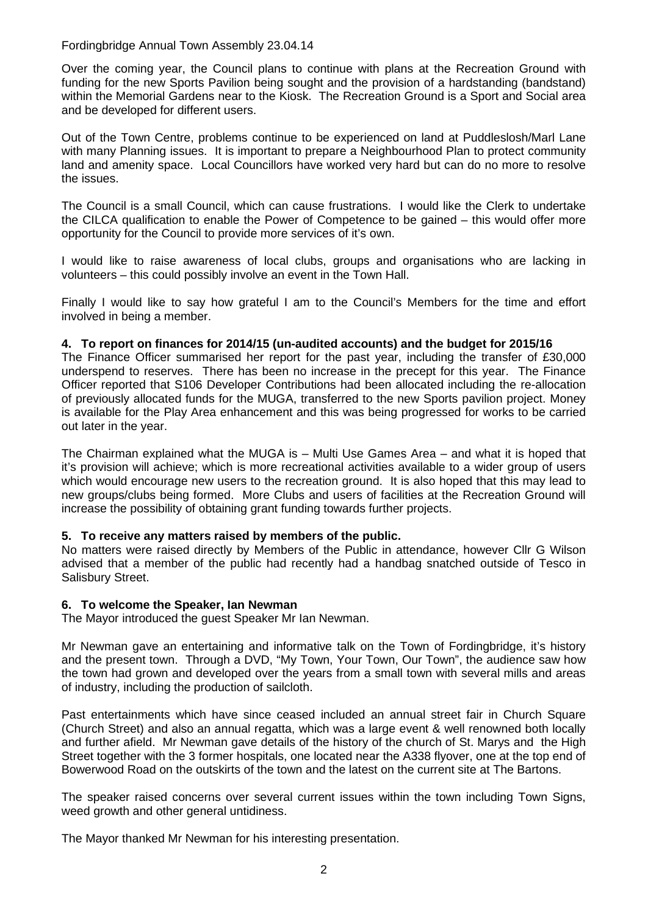## Fordingbridge Annual Town Assembly 23.04.14

Over the coming year, the Council plans to continue with plans at the Recreation Ground with funding for the new Sports Pavilion being sought and the provision of a hardstanding (bandstand) within the Memorial Gardens near to the Kiosk. The Recreation Ground is a Sport and Social area and be developed for different users.

Out of the Town Centre, problems continue to be experienced on land at Puddleslosh/Marl Lane with many Planning issues. It is important to prepare a Neighbourhood Plan to protect community land and amenity space. Local Councillors have worked very hard but can do no more to resolve the issues.

The Council is a small Council, which can cause frustrations. I would like the Clerk to undertake the CILCA qualification to enable the Power of Competence to be gained – this would offer more opportunity for the Council to provide more services of it's own.

I would like to raise awareness of local clubs, groups and organisations who are lacking in volunteers – this could possibly involve an event in the Town Hall.

Finally I would like to say how grateful I am to the Council's Members for the time and effort involved in being a member.

## **4. To report on finances for 2014/15 (un-audited accounts) and the budget for 2015/16**

The Finance Officer summarised her report for the past year, including the transfer of £30,000 underspend to reserves. There has been no increase in the precept for this year. The Finance Officer reported that S106 Developer Contributions had been allocated including the re-allocation of previously allocated funds for the MUGA, transferred to the new Sports pavilion project. Money is available for the Play Area enhancement and this was being progressed for works to be carried out later in the year.

The Chairman explained what the MUGA is – Multi Use Games Area – and what it is hoped that it's provision will achieve; which is more recreational activities available to a wider group of users which would encourage new users to the recreation ground. It is also hoped that this may lead to new groups/clubs being formed. More Clubs and users of facilities at the Recreation Ground will increase the possibility of obtaining grant funding towards further projects.

#### **5. To receive any matters raised by members of the public.**

No matters were raised directly by Members of the Public in attendance, however Cllr G Wilson advised that a member of the public had recently had a handbag snatched outside of Tesco in Salisbury Street.

#### **6. To welcome the Speaker, Ian Newman**

The Mayor introduced the guest Speaker Mr Ian Newman.

Mr Newman gave an entertaining and informative talk on the Town of Fordingbridge, it's history and the present town. Through a DVD, "My Town, Your Town, Our Town", the audience saw how the town had grown and developed over the years from a small town with several mills and areas of industry, including the production of sailcloth.

Past entertainments which have since ceased included an annual street fair in Church Square (Church Street) and also an annual regatta, which was a large event & well renowned both locally and further afield. Mr Newman gave details of the history of the church of St. Marys and the High Street together with the 3 former hospitals, one located near the A338 flyover, one at the top end of Bowerwood Road on the outskirts of the town and the latest on the current site at The Bartons.

The speaker raised concerns over several current issues within the town including Town Signs, weed growth and other general untidiness.

The Mayor thanked Mr Newman for his interesting presentation.